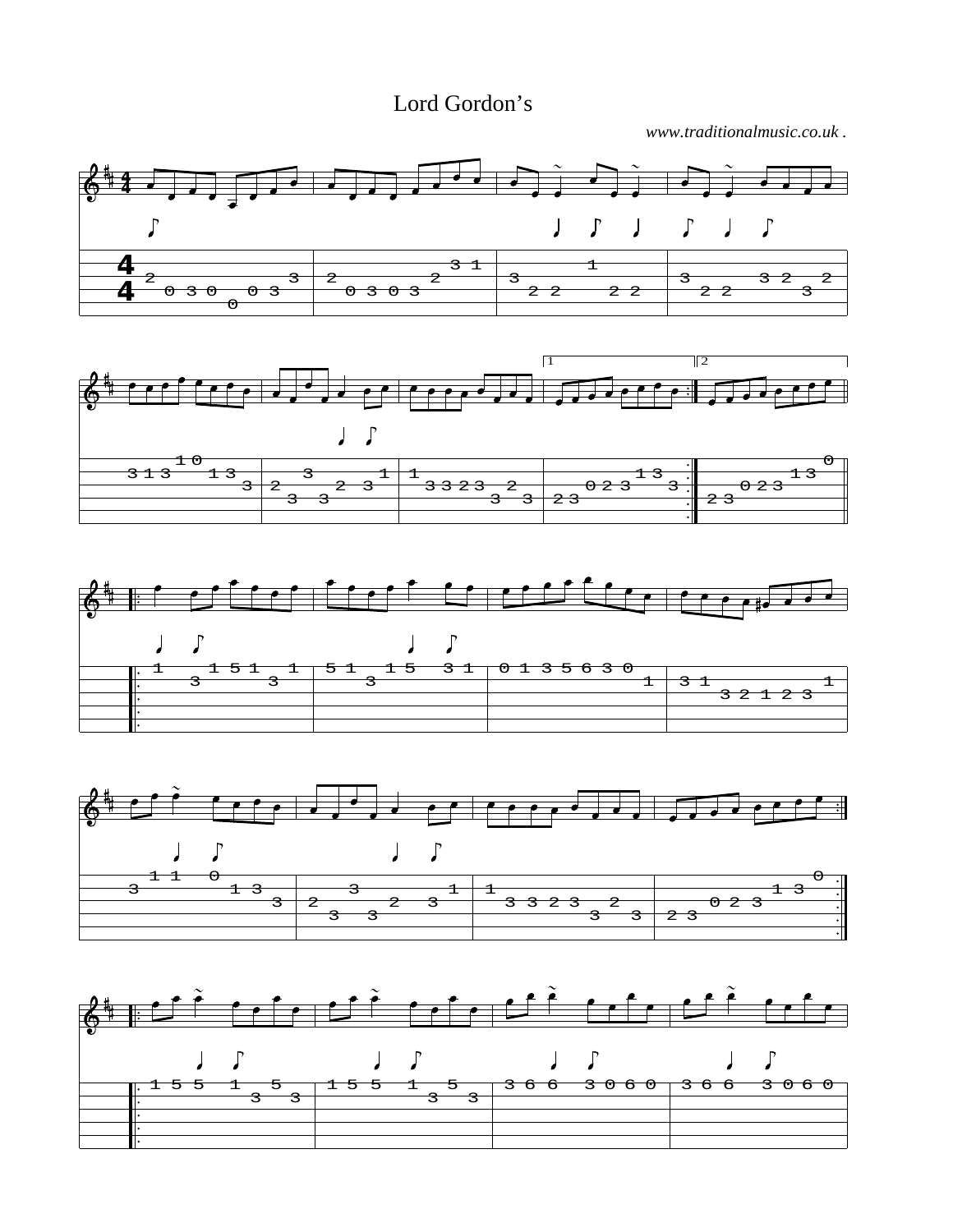Lord Gordon's

*www.traditionalmusic.co.uk .*









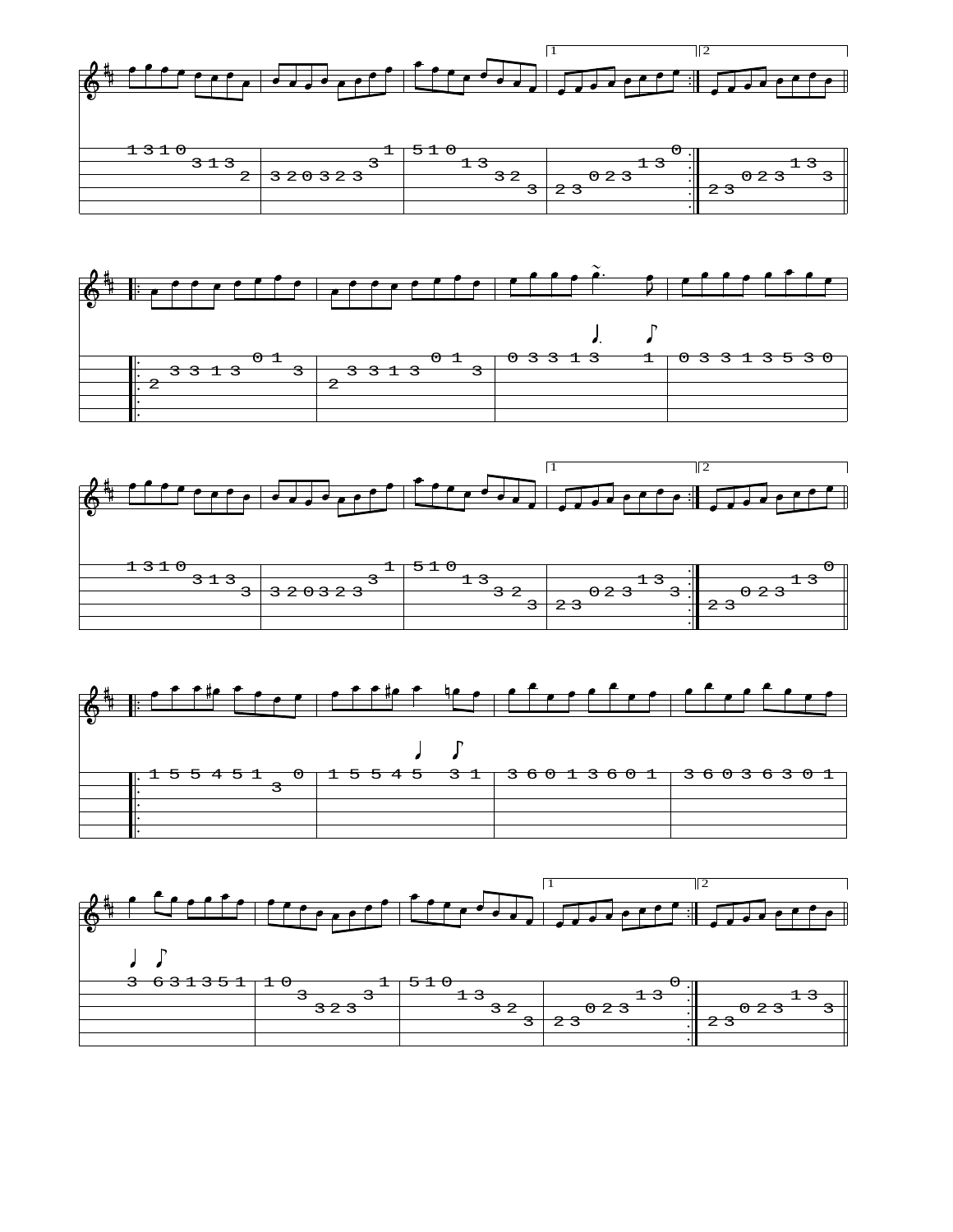







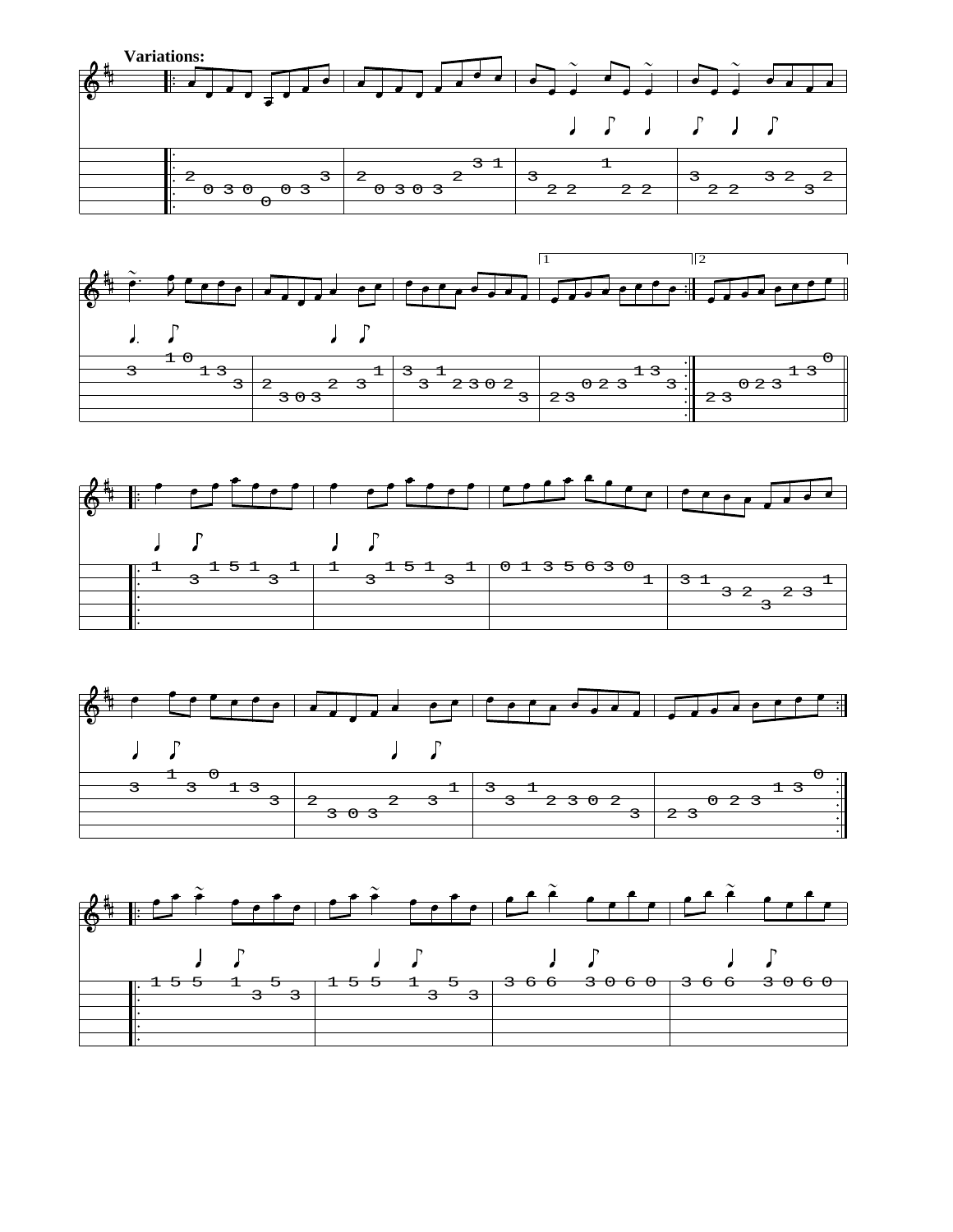







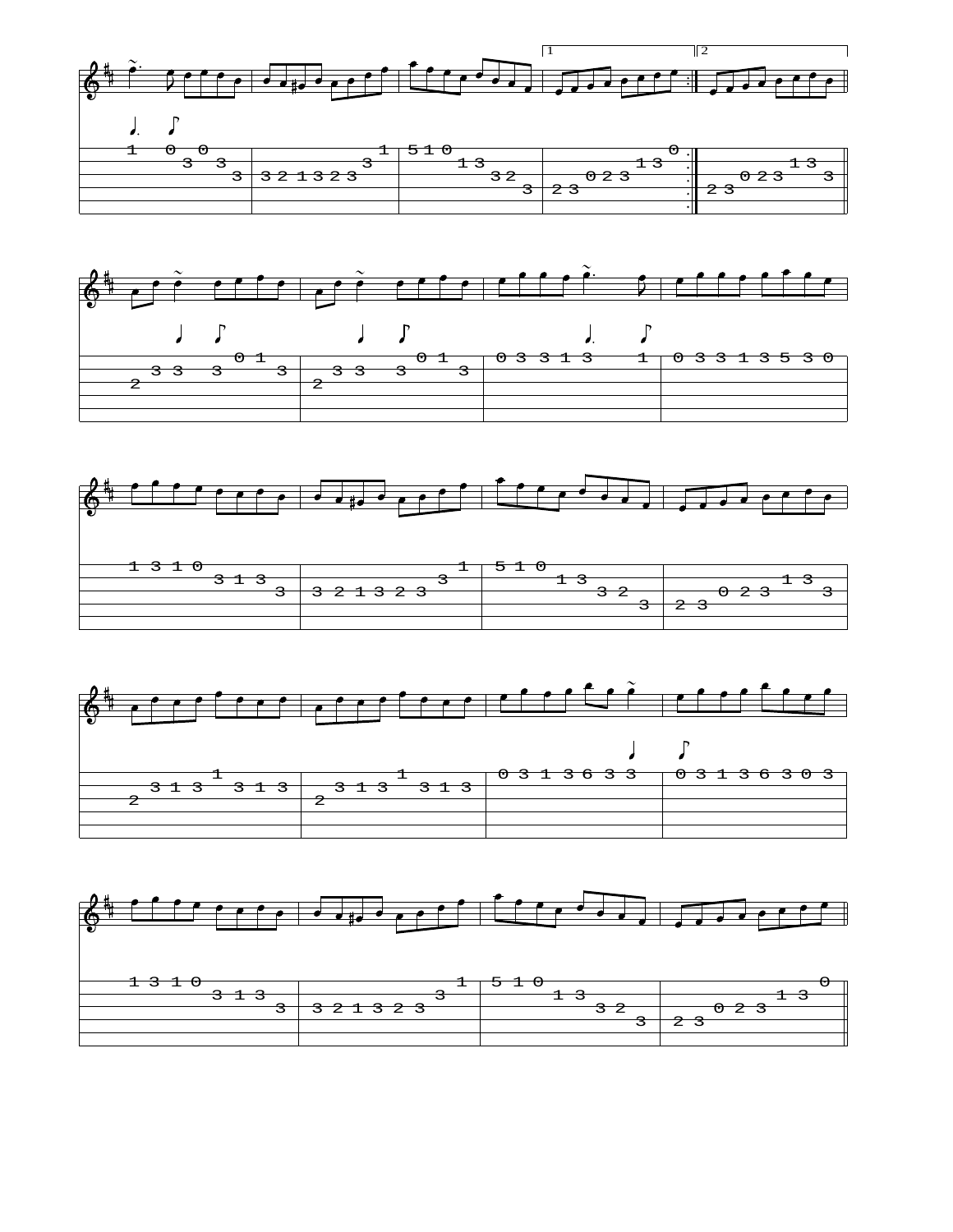